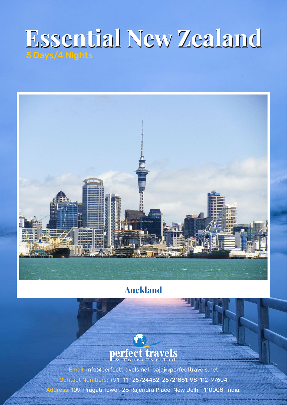# **Essential New Zealand Essential New Zealand**



## **Auckland**



Email: info@perfecttravels.net, bajaj@perfecttravels.net Contact Numbers: +91 -11- 25724462, 25721861, 98-112-97604 Address: 109, Pragati Tower, 26 Rajendra Place, New Delhi -110008. India.